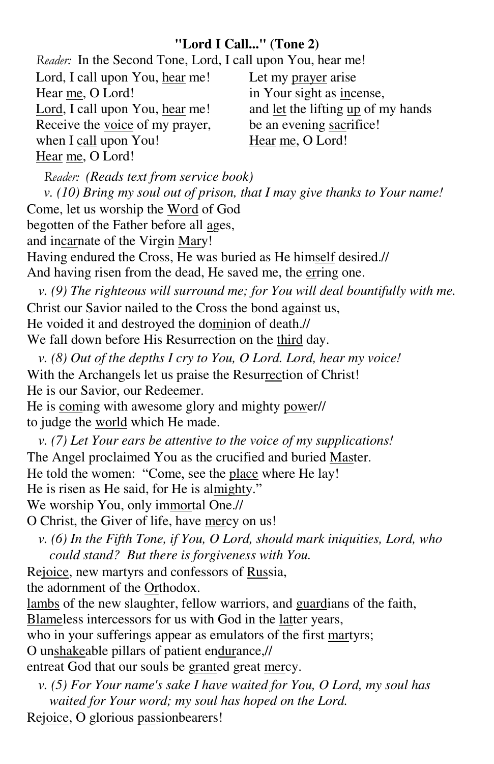## **"Lord I Call..." (Tone 2)**

*Reader:* In the Second Tone, Lord, I call upon You, hear me!

Lord, I call upon You, hear me! Hear me, O Lord! Lord, I call upon You, hear me! Receive the voice of my prayer, when I call upon You! Hear me, O Lord! Let my prayer arise in Your sight as incense, and let the lifting up of my hands be an evening sacrifice! Hear me, O Lord!

*Reader: (Reads text from service book)* 

*v. (10) Bring my soul out of prison, that I may give thanks to Your name!*  Come, let us worship the Word of God begotten of the Father before all ages, and incarnate of the Virgin Mary! Having endured the Cross, He was buried as He himself desired.// And having risen from the dead, He saved me, the erring one.

*v.* (9) The righteous will surround me; for You will deal bountifully with me. Christ our Savior nailed to the Cross the bond against us, He voided it and destroyed the dominion of death.// We fall down before His Resurrection on the third day.

*v. (8) Out of the depths I cry to You, O Lord. Lord, hear my voice!*  With the Archangels let us praise the Resurrection of Christ! He is our Savior, our Redeemer.

He is coming with awesome glory and mighty power// to judge the world which He made.

*v. (7) Let Your ears be attentive to the voice of my supplications!*  The Angel proclaimed You as the crucified and buried Master. He told the women: "Come, see the place where He lay! He is risen as He said, for He is almighty." We worship You, only immortal One.//

O Christ, the Giver of life, have mercy on us!

*v. (6) In the Fifth Tone, if You, O Lord, should mark iniquities, Lord, who could stand? But there is forgiveness with You.* 

Rejoice, new martyrs and confessors of Russia,

the adornment of the Orthodox.

lambs of the new slaughter, fellow warriors, and guardians of the faith,

Blameless intercessors for us with God in the latter years,

who in your sufferings appear as emulators of the first martyrs;

O unshakeable pillars of patient endurance,//

entreat God that our souls be granted great mercy.

*v. (5) For Your name's sake I have waited for You, O Lord, my soul has waited for Your word; my soul has hoped on the Lord.* 

Rejoice, O glorious passionbearers!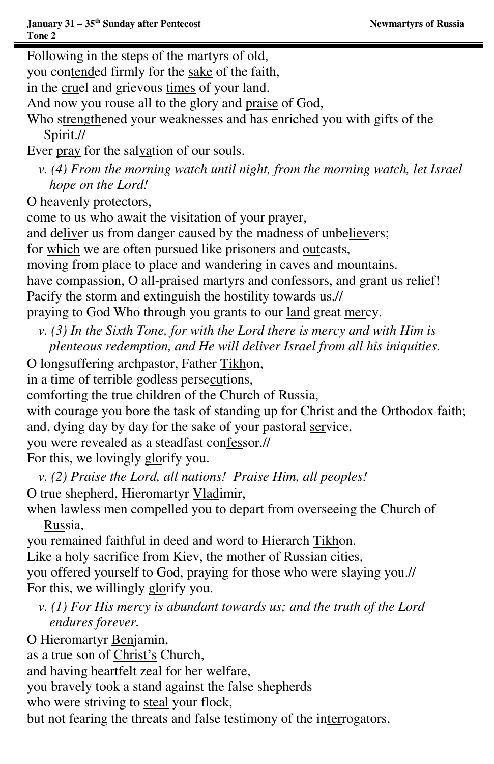Following in the steps of the martyrs of old, you contended firmly for the sake of the faith, in the cruel and grievous times of your land. And now you rouse all to the glory and praise of God, Who strengthened your weaknesses and has enriched you with gifts of the Spirit.// Ever pray for the salvation of our souls. *v.* (4) From the morning watch until night, from the morning watch, let Israel *hope on the Lord!*  O heavenly protectors, come to us who await the visitation of your prayer, and deliver us from danger caused by the madness of unbelievers; for which we are often pursued like prisoners and outcasts, moving from place to place and wandering in caves and mountains. have compassion, O all-praised martyrs and confessors, and grant us relief! Pacify the storm and extinguish the hostility towards us,// praying to God Who through you grants to our land great mercy.

- *v. (3) In the Sixth Tone, for with the Lord there is mercy and with Him is plenteous redemption, and He will deliver Israel from all his iniquities.*
- O longsuffering archpastor, Father Tikhon,

in a time of terrible godless persecutions,

comforting the true children of the Church of Russia,

with courage you bore the task of standing up for Christ and the Orthodox faith; and, dying day by day for the sake of your pastoral service,

you were revealed as a steadfast confessor.//

For this, we lovingly glorify you.

- *v. (2) Praise the Lord, all nations! Praise Him, all peoples!*  O true shepherd, Hieromartyr Vladimir,
- when lawless men compelled you to depart from overseeing the Church of Russia,

you remained faithful in deed and word to Hierarch Tikhon. Like a holy sacrifice from Kiev, the mother of Russian cities, you offered yourself to God, praying for those who were slaying you.// For this, we willingly glorify you.

*v. (1) For His mercy is abundant towards us; and the truth of the Lord endures forever.* 

O Hieromartyr Benjamin,

as a true son of Christ's Church,

and having heartfelt zeal for her welfare,

you bravely took a stand against the false shepherds

who were striving to steal your flock,

but not fearing the threats and false testimony of the interrogators,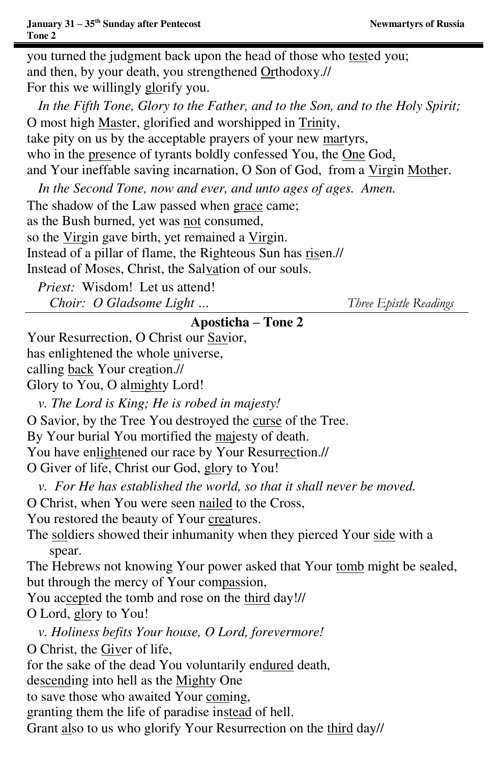you turned the judgment back upon the head of those who tested you; and then, by your death, you strengthened Orthodoxy.// For this we willingly glorify you. *In the Fifth Tone, Glory to the Father, and to the Son, and to the Holy Spirit;*  O most high Master, glorified and worshipped in Trinity, take pity on us by the acceptable prayers of your new martyrs, who in the presence of tyrants boldly confessed You, the One God, and Your ineffable saving incarnation, O Son of God, from a Virgin Mother. *In the Second Tone, now and ever, and unto ages of ages. Amen.*  The shadow of the Law passed when grace came; as the Bush burned, yet was not consumed, so the Virgin gave birth, yet remained a Virgin. Instead of a pillar of flame, the Righteous Sun has risen.// Instead of Moses, Christ, the Salvation of our souls. *Priest:* Wisdom! Let us attend! *Choir: O Gladsome Light … Three Epistle Readings* **Aposticha – Tone 2**  Your Resurrection, O Christ our Savior, has enlightened the whole universe, calling back Your creation.// Glory to You, O almighty Lord! *v. The Lord is King; He is robed in majesty!*  O Savior, by the Tree You destroyed the curse of the Tree. By Your burial You mortified the majesty of death. You have enlightened our race by Your Resurrection.// O Giver of life, Christ our God, glory to You! *v. For He has established the world, so that it shall never be moved.*  O Christ, when You were seen nailed to the Cross, You restored the beauty of Your creatures. The soldiers showed their inhumanity when they pierced Your side with a spear. The Hebrews not knowing Your power asked that Your tomb might be sealed, but through the mercy of Your compassion, You accepted the tomb and rose on the third day!// O Lord, glory to You! *v. Holiness befits Your house, O Lord, forevermore!*  O Christ, the Giver of life, for the sake of the dead You voluntarily endured death, descending into hell as the Mighty One to save those who awaited Your coming, granting them the life of paradise instead of hell. Grant also to us who glorify Your Resurrection on the third day//